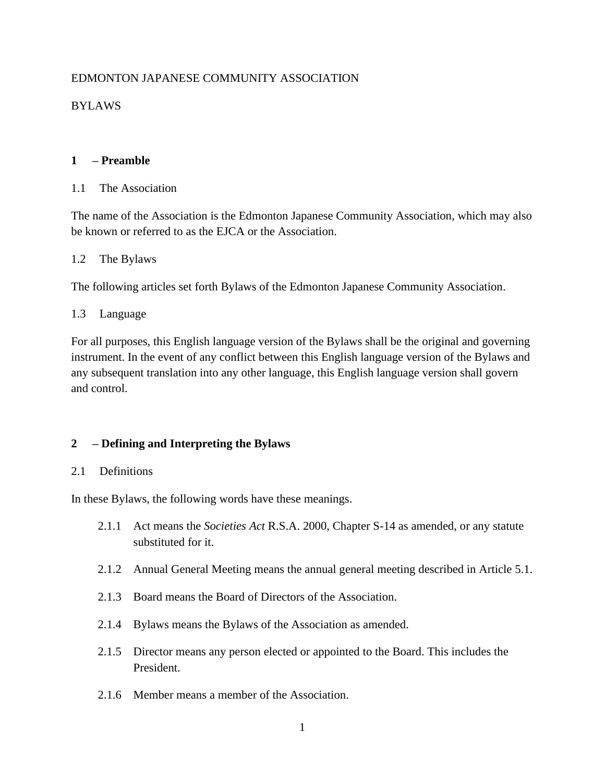# EDMONTON JAPANESE COMMUNITY ASSOCIATION

# BYLAWS

# **1 – Preamble**

## 1.1 The Association

The name of the Association is the Edmonton Japanese Community Association, which may also be known or referred to as the EJCA or the Association.

## 1.2 The Bylaws

The following articles set forth Bylaws of the Edmonton Japanese Community Association.

# 1.3 Language

For all purposes, this English language version of the Bylaws shall be the original and governing instrument. In the event of any conflict between this English language version of the Bylaws and any subsequent translation into any other language, this English language version shall govern and control.

# **2 – Defining and Interpreting the Bylaws**

## 2.1 Definitions

In these Bylaws, the following words have these meanings.

- 2.1.1 Act means the *Societies Act* R.S.A. 2000, Chapter S-14 as amended, or any statute substituted for it.
- 2.1.2 Annual General Meeting means the annual general meeting described in Article 5.1.
- 2.1.3 Board means the Board of Directors of the Association.
- 2.1.4 Bylaws means the Bylaws of the Association as amended.
- 2.1.5 Director means any person elected or appointed to the Board. This includes the President.
- 2.1.6 Member means a member of the Association.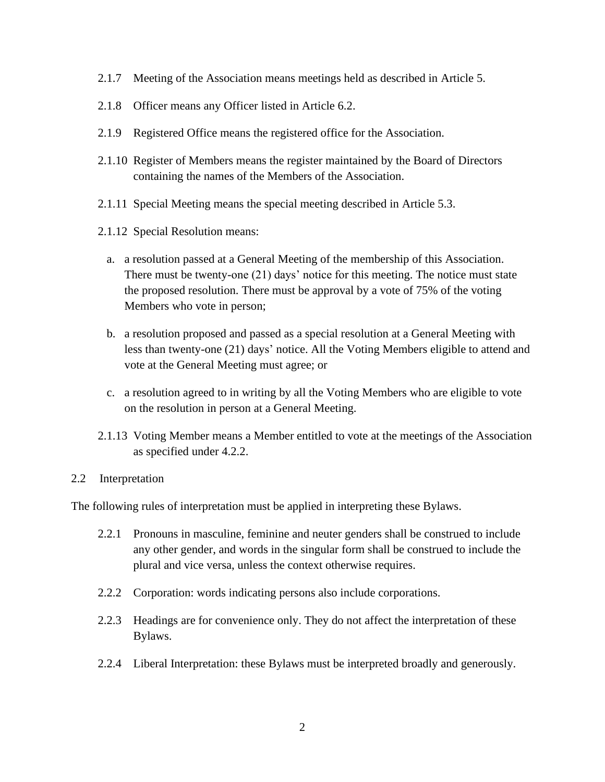- 2.1.7 Meeting of the Association means meetings held as described in Article 5.
- 2.1.8 Officer means any Officer listed in Article 6.2.
- 2.1.9 Registered Office means the registered office for the Association.
- 2.1.10 Register of Members means the register maintained by the Board of Directors containing the names of the Members of the Association.
- 2.1.11 Special Meeting means the special meeting described in Article 5.3.
- 2.1.12 Special Resolution means:
	- a. a resolution passed at a General Meeting of the membership of this Association. There must be twenty-one (21) days' notice for this meeting. The notice must state the proposed resolution. There must be approval by a vote of 75% of the voting Members who vote in person;
	- b. a resolution proposed and passed as a special resolution at a General Meeting with less than twenty-one (21) days' notice. All the Voting Members eligible to attend and vote at the General Meeting must agree; or
	- c. a resolution agreed to in writing by all the Voting Members who are eligible to vote on the resolution in person at a General Meeting.
- 2.1.13 Voting Member means a Member entitled to vote at the meetings of the Association as specified under 4.2.2.

## 2.2 Interpretation

The following rules of interpretation must be applied in interpreting these Bylaws.

- 2.2.1 Pronouns in masculine, feminine and neuter genders shall be construed to include any other gender, and words in the singular form shall be construed to include the plural and vice versa, unless the context otherwise requires.
- 2.2.2 Corporation: words indicating persons also include corporations.
- 2.2.3 Headings are for convenience only. They do not affect the interpretation of these Bylaws.
- 2.2.4 Liberal Interpretation: these Bylaws must be interpreted broadly and generously.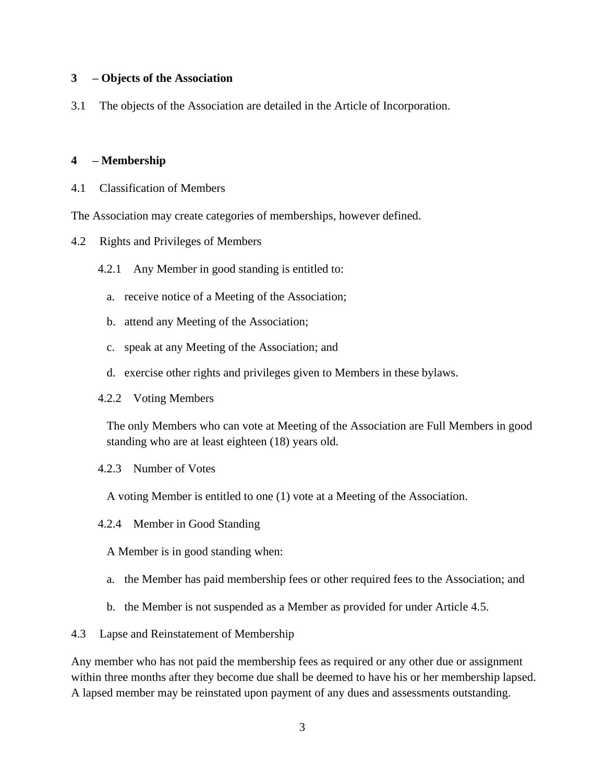### **3 – Objects of the Association**

3.1 The objects of the Association are detailed in the Article of Incorporation.

## **4 – Membership**

4.1 Classification of Members

The Association may create categories of memberships, however defined.

- 4.2 Rights and Privileges of Members
	- 4.2.1 Any Member in good standing is entitled to:
		- a. receive notice of a Meeting of the Association;
		- b. attend any Meeting of the Association;
		- c. speak at any Meeting of the Association; and
		- d. exercise other rights and privileges given to Members in these bylaws.
	- 4.2.2 Voting Members

The only Members who can vote at Meeting of the Association are Full Members in good standing who are at least eighteen (18) years old.

4.2.3 Number of Votes

A voting Member is entitled to one (1) vote at a Meeting of the Association.

- 4.2.4 Member in Good Standing
	- A Member is in good standing when:
	- a. the Member has paid membership fees or other required fees to the Association; and
	- b. the Member is not suspended as a Member as provided for under Article 4.5.

4.3 Lapse and Reinstatement of Membership

Any member who has not paid the membership fees as required or any other due or assignment within three months after they become due shall be deemed to have his or her membership lapsed. A lapsed member may be reinstated upon payment of any dues and assessments outstanding.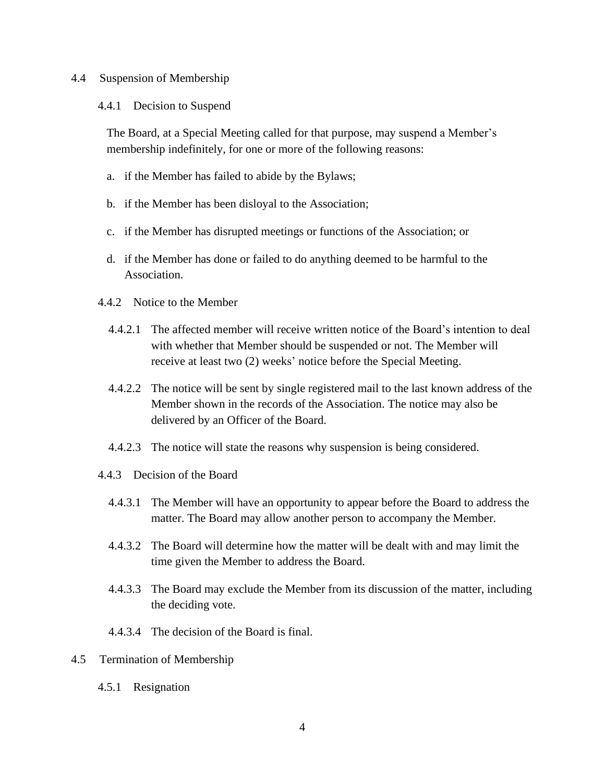#### 4.4 Suspension of Membership

### 4.4.1 Decision to Suspend

The Board, at a Special Meeting called for that purpose, may suspend a Member's membership indefinitely, for one or more of the following reasons:

- a. if the Member has failed to abide by the Bylaws;
- b. if the Member has been disloyal to the Association;
- c. if the Member has disrupted meetings or functions of the Association; or
- d. if the Member has done or failed to do anything deemed to be harmful to the Association.
- 4.4.2 Notice to the Member
	- 4.4.2.1 The affected member will receive written notice of the Board's intention to deal with whether that Member should be suspended or not. The Member will receive at least two (2) weeks' notice before the Special Meeting.
	- 4.4.2.2 The notice will be sent by single registered mail to the last known address of the Member shown in the records of the Association. The notice may also be delivered by an Officer of the Board.
	- 4.4.2.3 The notice will state the reasons why suspension is being considered.
- 4.4.3 Decision of the Board
	- 4.4.3.1 The Member will have an opportunity to appear before the Board to address the matter. The Board may allow another person to accompany the Member.
	- 4.4.3.2 The Board will determine how the matter will be dealt with and may limit the time given the Member to address the Board.
	- 4.4.3.3 The Board may exclude the Member from its discussion of the matter, including the deciding vote.
	- 4.4.3.4 The decision of the Board is final.
- 4.5 Termination of Membership
	- 4.5.1 Resignation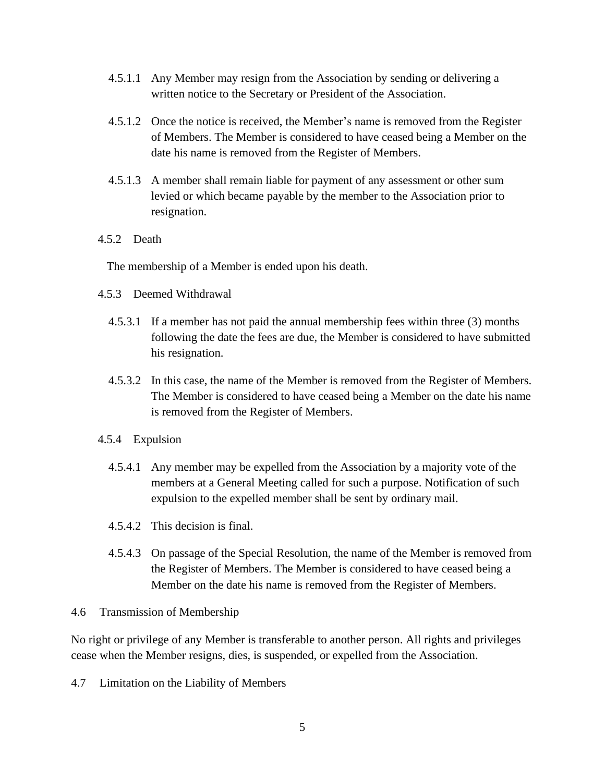- 4.5.1.1 Any Member may resign from the Association by sending or delivering a written notice to the Secretary or President of the Association.
- 4.5.1.2 Once the notice is received, the Member's name is removed from the Register of Members. The Member is considered to have ceased being a Member on the date his name is removed from the Register of Members.
- 4.5.1.3 A member shall remain liable for payment of any assessment or other sum levied or which became payable by the member to the Association prior to resignation.
- 4.5.2 Death

The membership of a Member is ended upon his death.

- 4.5.3 Deemed Withdrawal
	- 4.5.3.1 If a member has not paid the annual membership fees within three (3) months following the date the fees are due, the Member is considered to have submitted his resignation.
	- 4.5.3.2 In this case, the name of the Member is removed from the Register of Members. The Member is considered to have ceased being a Member on the date his name is removed from the Register of Members.
- 4.5.4 Expulsion
	- 4.5.4.1 Any member may be expelled from the Association by a majority vote of the members at a General Meeting called for such a purpose. Notification of such expulsion to the expelled member shall be sent by ordinary mail.
	- 4.5.4.2 This decision is final.
	- 4.5.4.3 On passage of the Special Resolution, the name of the Member is removed from the Register of Members. The Member is considered to have ceased being a Member on the date his name is removed from the Register of Members.

#### 4.6 Transmission of Membership

No right or privilege of any Member is transferable to another person. All rights and privileges cease when the Member resigns, dies, is suspended, or expelled from the Association.

4.7 Limitation on the Liability of Members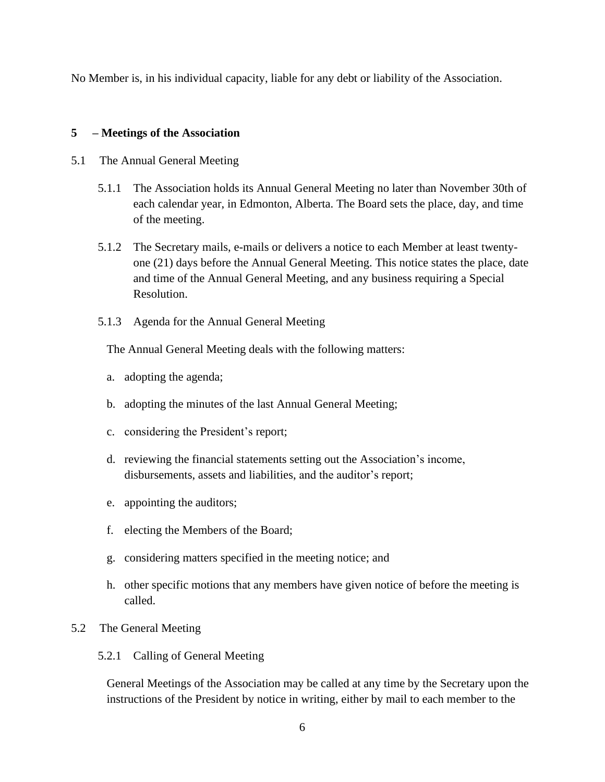No Member is, in his individual capacity, liable for any debt or liability of the Association.

# **5 – Meetings of the Association**

- 5.1 The Annual General Meeting
	- 5.1.1 The Association holds its Annual General Meeting no later than November 30th of each calendar year, in Edmonton, Alberta. The Board sets the place, day, and time of the meeting.
	- 5.1.2 The Secretary mails, e-mails or delivers a notice to each Member at least twentyone (21) days before the Annual General Meeting. This notice states the place, date and time of the Annual General Meeting, and any business requiring a Special Resolution.
	- 5.1.3 Agenda for the Annual General Meeting

The Annual General Meeting deals with the following matters:

- a. adopting the agenda;
- b. adopting the minutes of the last Annual General Meeting;
- c. considering the President's report;
- d. reviewing the financial statements setting out the Association's income, disbursements, assets and liabilities, and the auditor's report;
- e. appointing the auditors;
- f. electing the Members of the Board;
- g. considering matters specified in the meeting notice; and
- h. other specific motions that any members have given notice of before the meeting is called.
- 5.2 The General Meeting
	- 5.2.1 Calling of General Meeting

General Meetings of the Association may be called at any time by the Secretary upon the instructions of the President by notice in writing, either by mail to each member to the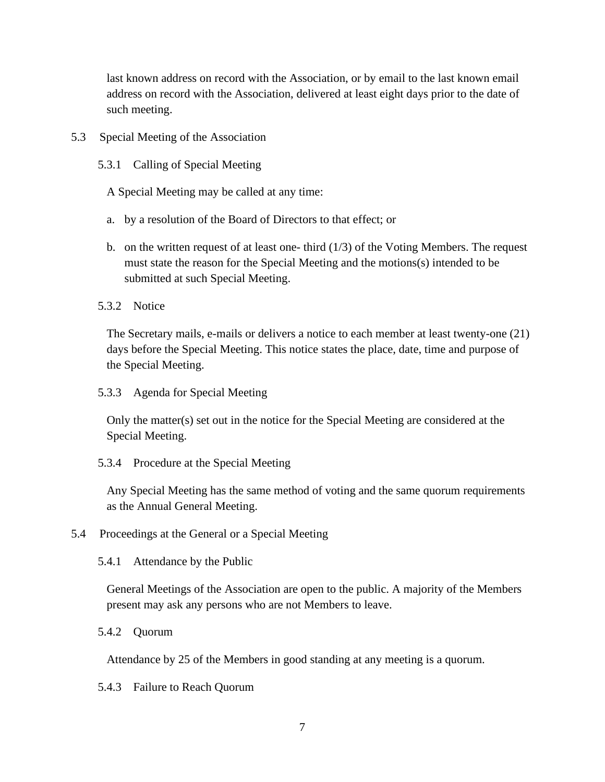last known address on record with the Association, or by email to the last known email address on record with the Association, delivered at least eight days prior to the date of such meeting.

# 5.3 Special Meeting of the Association

5.3.1 Calling of Special Meeting

A Special Meeting may be called at any time:

- a. by a resolution of the Board of Directors to that effect; or
- b. on the written request of at least one- third  $(1/3)$  of the Voting Members. The request must state the reason for the Special Meeting and the motions(s) intended to be submitted at such Special Meeting.

5.3.2 Notice

The Secretary mails, e-mails or delivers a notice to each member at least twenty-one (21) days before the Special Meeting. This notice states the place, date, time and purpose of the Special Meeting.

5.3.3 Agenda for Special Meeting

Only the matter(s) set out in the notice for the Special Meeting are considered at the Special Meeting.

5.3.4 Procedure at the Special Meeting

Any Special Meeting has the same method of voting and the same quorum requirements as the Annual General Meeting.

- 5.4 Proceedings at the General or a Special Meeting
	- 5.4.1 Attendance by the Public

General Meetings of the Association are open to the public. A majority of the Members present may ask any persons who are not Members to leave.

5.4.2 Quorum

Attendance by 25 of the Members in good standing at any meeting is a quorum.

5.4.3 Failure to Reach Quorum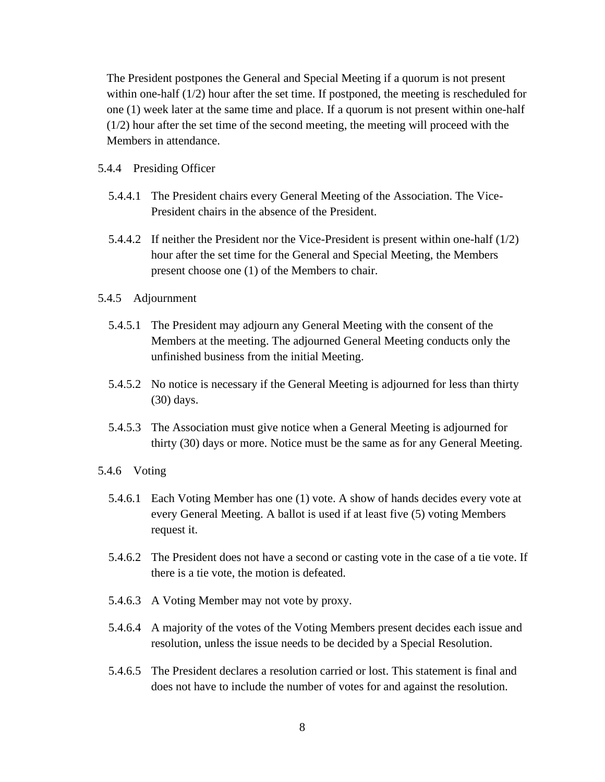The President postpones the General and Special Meeting if a quorum is not present within one-half  $(1/2)$  hour after the set time. If postponed, the meeting is rescheduled for one (1) week later at the same time and place. If a quorum is not present within one-half (1/2) hour after the set time of the second meeting, the meeting will proceed with the Members in attendance.

#### 5.4.4 Presiding Officer

- 5.4.4.1 The President chairs every General Meeting of the Association. The Vice-President chairs in the absence of the President.
- 5.4.4.2 If neither the President nor the Vice-President is present within one-half (1/2) hour after the set time for the General and Special Meeting, the Members present choose one (1) of the Members to chair.

#### 5.4.5 Adjournment

- 5.4.5.1 The President may adjourn any General Meeting with the consent of the Members at the meeting. The adjourned General Meeting conducts only the unfinished business from the initial Meeting.
- 5.4.5.2 No notice is necessary if the General Meeting is adjourned for less than thirty (30) days.
- 5.4.5.3 The Association must give notice when a General Meeting is adjourned for thirty (30) days or more. Notice must be the same as for any General Meeting.

#### 5.4.6 Voting

- 5.4.6.1 Each Voting Member has one (1) vote. A show of hands decides every vote at every General Meeting. A ballot is used if at least five (5) voting Members request it.
- 5.4.6.2 The President does not have a second or casting vote in the case of a tie vote. If there is a tie vote, the motion is defeated.
- 5.4.6.3 A Voting Member may not vote by proxy.
- 5.4.6.4 A majority of the votes of the Voting Members present decides each issue and resolution, unless the issue needs to be decided by a Special Resolution.
- 5.4.6.5 The President declares a resolution carried or lost. This statement is final and does not have to include the number of votes for and against the resolution.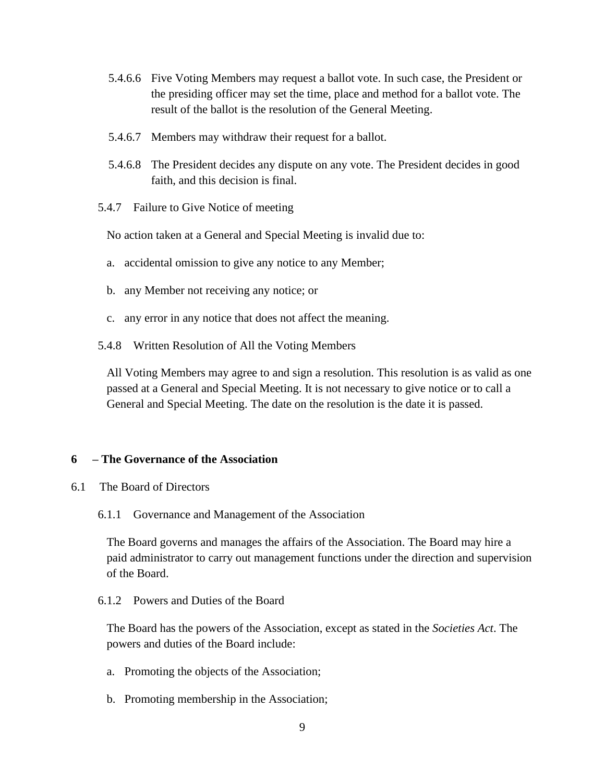- 5.4.6.6 Five Voting Members may request a ballot vote. In such case, the President or the presiding officer may set the time, place and method for a ballot vote. The result of the ballot is the resolution of the General Meeting.
- 5.4.6.7 Members may withdraw their request for a ballot.
- 5.4.6.8 The President decides any dispute on any vote. The President decides in good faith, and this decision is final.
- 5.4.7 Failure to Give Notice of meeting

No action taken at a General and Special Meeting is invalid due to:

- a. accidental omission to give any notice to any Member;
- b. any Member not receiving any notice; or
- c. any error in any notice that does not affect the meaning.
- 5.4.8 Written Resolution of All the Voting Members

All Voting Members may agree to and sign a resolution. This resolution is as valid as one passed at a General and Special Meeting. It is not necessary to give notice or to call a General and Special Meeting. The date on the resolution is the date it is passed.

#### **6 – The Governance of the Association**

- 6.1 The Board of Directors
	- 6.1.1 Governance and Management of the Association

The Board governs and manages the affairs of the Association. The Board may hire a paid administrator to carry out management functions under the direction and supervision of the Board.

6.1.2 Powers and Duties of the Board

The Board has the powers of the Association, except as stated in the *Societies Act*. The powers and duties of the Board include:

- a. Promoting the objects of the Association;
- b. Promoting membership in the Association;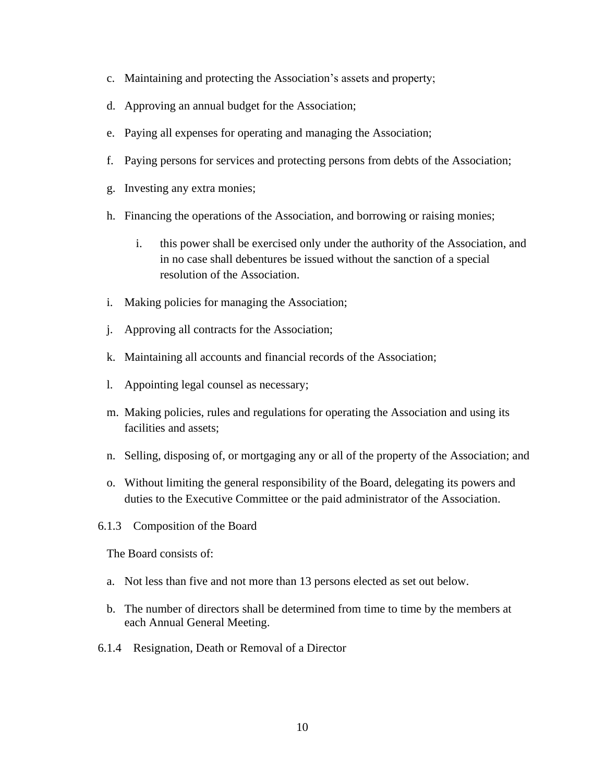- c. Maintaining and protecting the Association's assets and property;
- d. Approving an annual budget for the Association;
- e. Paying all expenses for operating and managing the Association;
- f. Paying persons for services and protecting persons from debts of the Association;
- g. Investing any extra monies;
- h. Financing the operations of the Association, and borrowing or raising monies;
	- i. this power shall be exercised only under the authority of the Association, and in no case shall debentures be issued without the sanction of a special resolution of the Association.
- i. Making policies for managing the Association;
- j. Approving all contracts for the Association;
- k. Maintaining all accounts and financial records of the Association;
- l. Appointing legal counsel as necessary;
- m. Making policies, rules and regulations for operating the Association and using its facilities and assets;
- n. Selling, disposing of, or mortgaging any or all of the property of the Association; and
- o. Without limiting the general responsibility of the Board, delegating its powers and duties to the Executive Committee or the paid administrator of the Association.
- 6.1.3 Composition of the Board

The Board consists of:

- a. Not less than five and not more than 13 persons elected as set out below.
- b. The number of directors shall be determined from time to time by the members at each Annual General Meeting.
- 6.1.4 Resignation, Death or Removal of a Director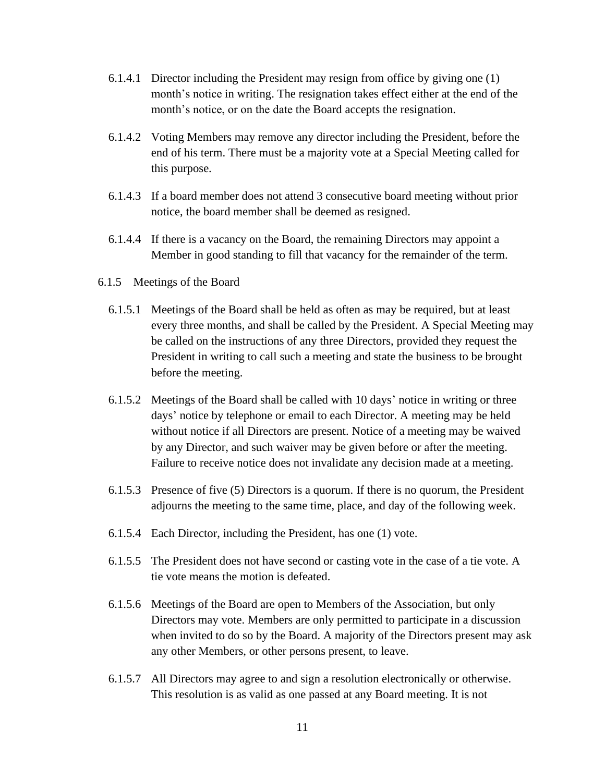- 6.1.4.1 Director including the President may resign from office by giving one (1) month's notice in writing. The resignation takes effect either at the end of the month's notice, or on the date the Board accepts the resignation.
- 6.1.4.2 Voting Members may remove any director including the President, before the end of his term. There must be a majority vote at a Special Meeting called for this purpose.
- 6.1.4.3 If a board member does not attend 3 consecutive board meeting without prior notice, the board member shall be deemed as resigned.
- 6.1.4.4 If there is a vacancy on the Board, the remaining Directors may appoint a Member in good standing to fill that vacancy for the remainder of the term.
- 6.1.5 Meetings of the Board
	- 6.1.5.1 Meetings of the Board shall be held as often as may be required, but at least every three months, and shall be called by the President. A Special Meeting may be called on the instructions of any three Directors, provided they request the President in writing to call such a meeting and state the business to be brought before the meeting.
	- 6.1.5.2 Meetings of the Board shall be called with 10 days' notice in writing or three days' notice by telephone or email to each Director. A meeting may be held without notice if all Directors are present. Notice of a meeting may be waived by any Director, and such waiver may be given before or after the meeting. Failure to receive notice does not invalidate any decision made at a meeting.
	- 6.1.5.3 Presence of five (5) Directors is a quorum. If there is no quorum, the President adjourns the meeting to the same time, place, and day of the following week.
	- 6.1.5.4 Each Director, including the President, has one (1) vote.
	- 6.1.5.5 The President does not have second or casting vote in the case of a tie vote. A tie vote means the motion is defeated.
	- 6.1.5.6 Meetings of the Board are open to Members of the Association, but only Directors may vote. Members are only permitted to participate in a discussion when invited to do so by the Board. A majority of the Directors present may ask any other Members, or other persons present, to leave.
	- 6.1.5.7 All Directors may agree to and sign a resolution electronically or otherwise. This resolution is as valid as one passed at any Board meeting. It is not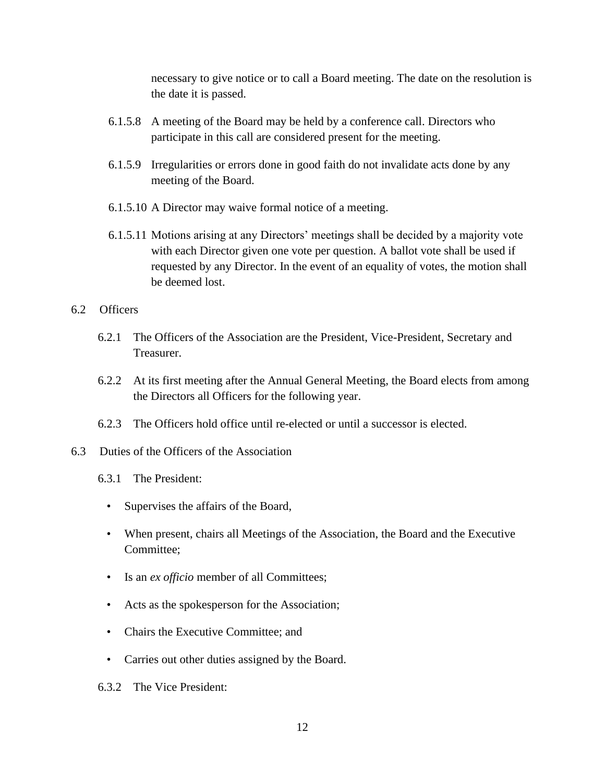necessary to give notice or to call a Board meeting. The date on the resolution is the date it is passed.

- 6.1.5.8 A meeting of the Board may be held by a conference call. Directors who participate in this call are considered present for the meeting.
- 6.1.5.9 Irregularities or errors done in good faith do not invalidate acts done by any meeting of the Board.
- 6.1.5.10 A Director may waive formal notice of a meeting.
- 6.1.5.11 Motions arising at any Directors' meetings shall be decided by a majority vote with each Director given one vote per question. A ballot vote shall be used if requested by any Director. In the event of an equality of votes, the motion shall be deemed lost.

## 6.2 Officers

- 6.2.1 The Officers of the Association are the President, Vice-President, Secretary and Treasurer.
- 6.2.2 At its first meeting after the Annual General Meeting, the Board elects from among the Directors all Officers for the following year.
- 6.2.3 The Officers hold office until re-elected or until a successor is elected.
- 6.3 Duties of the Officers of the Association
	- 6.3.1 The President:
		- Supervises the affairs of the Board,
		- When present, chairs all Meetings of the Association, the Board and the Executive Committee;
		- Is an *ex officio* member of all Committees;
		- Acts as the spokesperson for the Association;
		- Chairs the Executive Committee; and
		- Carries out other duties assigned by the Board.
	- 6.3.2 The Vice President: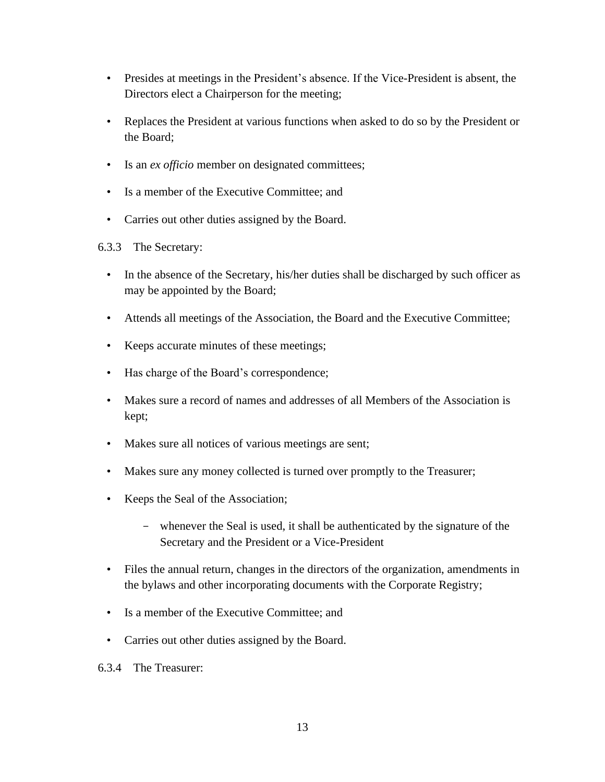- Presides at meetings in the President's absence. If the Vice-President is absent, the Directors elect a Chairperson for the meeting;
- Replaces the President at various functions when asked to do so by the President or the Board;
- Is an *ex officio* member on designated committees;
- Is a member of the Executive Committee; and
- Carries out other duties assigned by the Board.
- 6.3.3 The Secretary:
	- In the absence of the Secretary, his/her duties shall be discharged by such officer as may be appointed by the Board;
	- Attends all meetings of the Association, the Board and the Executive Committee;
	- Keeps accurate minutes of these meetings;
	- Has charge of the Board's correspondence;
	- Makes sure a record of names and addresses of all Members of the Association is kept;
	- Makes sure all notices of various meetings are sent;
	- Makes sure any money collected is turned over promptly to the Treasurer;
	- Keeps the Seal of the Association;
		- whenever the Seal is used, it shall be authenticated by the signature of the Secretary and the President or a Vice-President
	- Files the annual return, changes in the directors of the organization, amendments in the bylaws and other incorporating documents with the Corporate Registry;
	- Is a member of the Executive Committee; and
	- Carries out other duties assigned by the Board.
- 6.3.4 The Treasurer: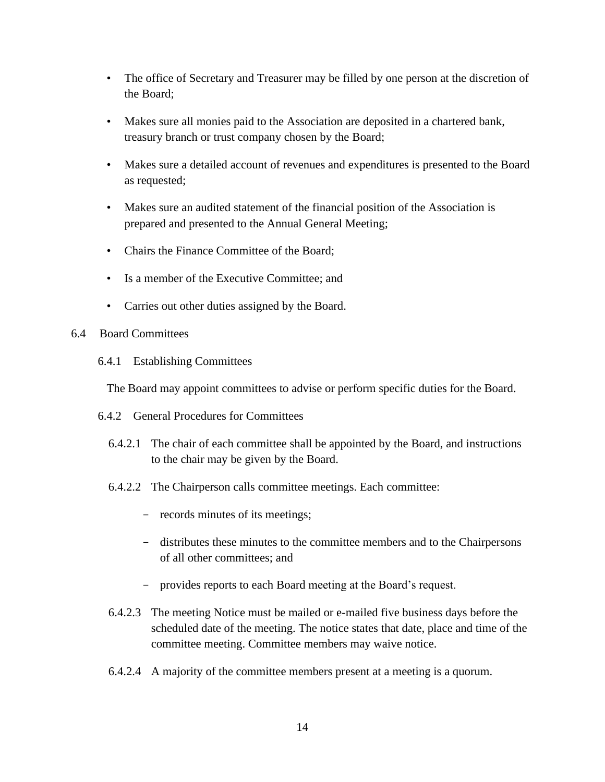- The office of Secretary and Treasurer may be filled by one person at the discretion of the Board;
- Makes sure all monies paid to the Association are deposited in a chartered bank, treasury branch or trust company chosen by the Board;
- Makes sure a detailed account of revenues and expenditures is presented to the Board as requested;
- Makes sure an audited statement of the financial position of the Association is prepared and presented to the Annual General Meeting;
- Chairs the Finance Committee of the Board;
- Is a member of the Executive Committee; and
- Carries out other duties assigned by the Board.
- 6.4 Board Committees
	- 6.4.1 Establishing Committees

The Board may appoint committees to advise or perform specific duties for the Board.

- 6.4.2 General Procedures for Committees
	- 6.4.2.1 The chair of each committee shall be appointed by the Board, and instructions to the chair may be given by the Board.
	- 6.4.2.2 The Chairperson calls committee meetings. Each committee:
		- records minutes of its meetings;
		- distributes these minutes to the committee members and to the Chairpersons of all other committees; and
		- provides reports to each Board meeting at the Board's request.
	- 6.4.2.3 The meeting Notice must be mailed or e-mailed five business days before the scheduled date of the meeting. The notice states that date, place and time of the committee meeting. Committee members may waive notice.
	- 6.4.2.4 A majority of the committee members present at a meeting is a quorum.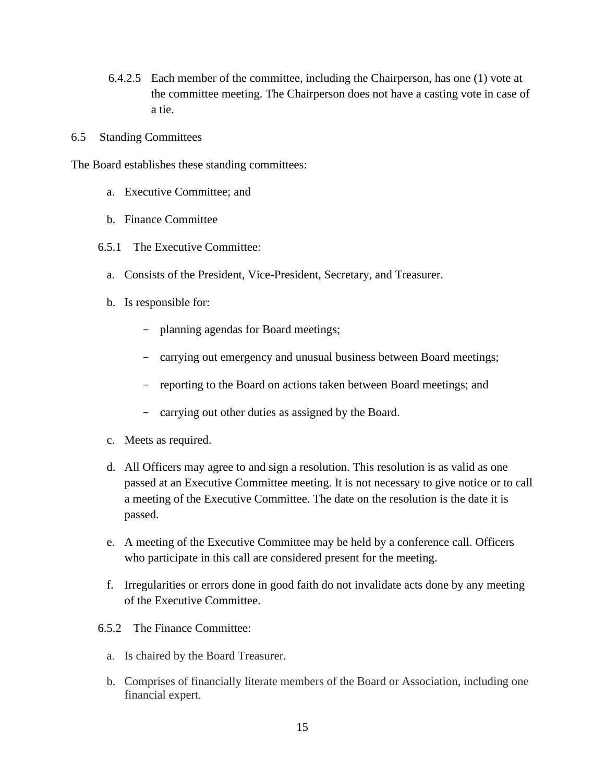- 6.4.2.5 Each member of the committee, including the Chairperson, has one (1) vote at the committee meeting. The Chairperson does not have a casting vote in case of a tie.
- 6.5 Standing Committees

The Board establishes these standing committees:

- a. Executive Committee; and
- b. Finance Committee
- 6.5.1 The Executive Committee:
	- a. Consists of the President, Vice-President, Secretary, and Treasurer.
	- b. Is responsible for:
		- planning agendas for Board meetings;
		- carrying out emergency and unusual business between Board meetings;
		- reporting to the Board on actions taken between Board meetings; and
		- carrying out other duties as assigned by the Board.
	- c. Meets as required.
	- d. All Officers may agree to and sign a resolution. This resolution is as valid as one passed at an Executive Committee meeting. It is not necessary to give notice or to call a meeting of the Executive Committee. The date on the resolution is the date it is passed.
	- e. A meeting of the Executive Committee may be held by a conference call. Officers who participate in this call are considered present for the meeting.
	- f. Irregularities or errors done in good faith do not invalidate acts done by any meeting of the Executive Committee.
- 6.5.2 The Finance Committee:
	- a. Is chaired by the Board Treasurer.
	- b. Comprises of financially literate members of the Board or Association, including one financial expert.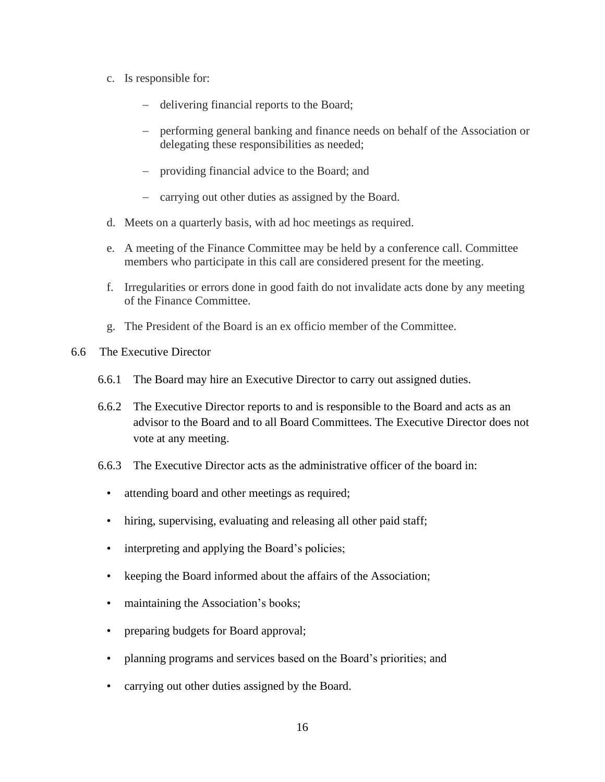- c. Is responsible for:
	- − delivering financial reports to the Board;
	- − performing general banking and finance needs on behalf of the Association or delegating these responsibilities as needed;
	- − providing financial advice to the Board; and
	- − carrying out other duties as assigned by the Board.
- d. Meets on a quarterly basis, with ad hoc meetings as required.
- e. A meeting of the Finance Committee may be held by a conference call. Committee members who participate in this call are considered present for the meeting.
- f. Irregularities or errors done in good faith do not invalidate acts done by any meeting of the Finance Committee.
- g. The President of the Board is an ex officio member of the Committee.
- 6.6 The Executive Director
	- 6.6.1 The Board may hire an Executive Director to carry out assigned duties.
	- 6.6.2 The Executive Director reports to and is responsible to the Board and acts as an advisor to the Board and to all Board Committees. The Executive Director does not vote at any meeting.
	- 6.6.3 The Executive Director acts as the administrative officer of the board in:
		- attending board and other meetings as required;
		- hiring, supervising, evaluating and releasing all other paid staff;
		- interpreting and applying the Board's policies;
		- keeping the Board informed about the affairs of the Association;
		- maintaining the Association's books;
		- preparing budgets for Board approval;
		- planning programs and services based on the Board's priorities; and
		- carrying out other duties assigned by the Board.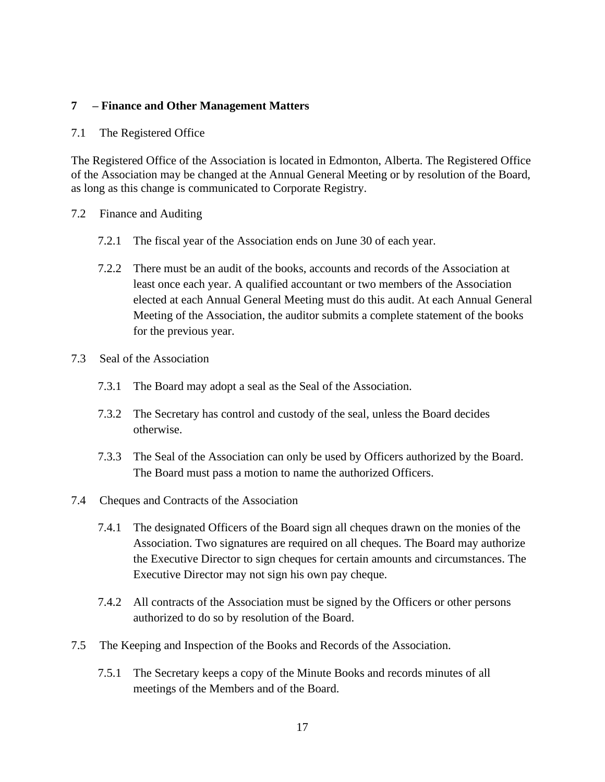# **7 – Finance and Other Management Matters**

### 7.1 The Registered Office

The Registered Office of the Association is located in Edmonton, Alberta. The Registered Office of the Association may be changed at the Annual General Meeting or by resolution of the Board, as long as this change is communicated to Corporate Registry.

- 7.2 Finance and Auditing
	- 7.2.1 The fiscal year of the Association ends on June 30 of each year.
	- 7.2.2 There must be an audit of the books, accounts and records of the Association at least once each year. A qualified accountant or two members of the Association elected at each Annual General Meeting must do this audit. At each Annual General Meeting of the Association, the auditor submits a complete statement of the books for the previous year.
- 7.3 Seal of the Association
	- 7.3.1 The Board may adopt a seal as the Seal of the Association.
	- 7.3.2 The Secretary has control and custody of the seal, unless the Board decides otherwise.
	- 7.3.3 The Seal of the Association can only be used by Officers authorized by the Board. The Board must pass a motion to name the authorized Officers.
- 7.4 Cheques and Contracts of the Association
	- 7.4.1 The designated Officers of the Board sign all cheques drawn on the monies of the Association. Two signatures are required on all cheques. The Board may authorize the Executive Director to sign cheques for certain amounts and circumstances. The Executive Director may not sign his own pay cheque.
	- 7.4.2 All contracts of the Association must be signed by the Officers or other persons authorized to do so by resolution of the Board.
- 7.5 The Keeping and Inspection of the Books and Records of the Association.
	- 7.5.1 The Secretary keeps a copy of the Minute Books and records minutes of all meetings of the Members and of the Board.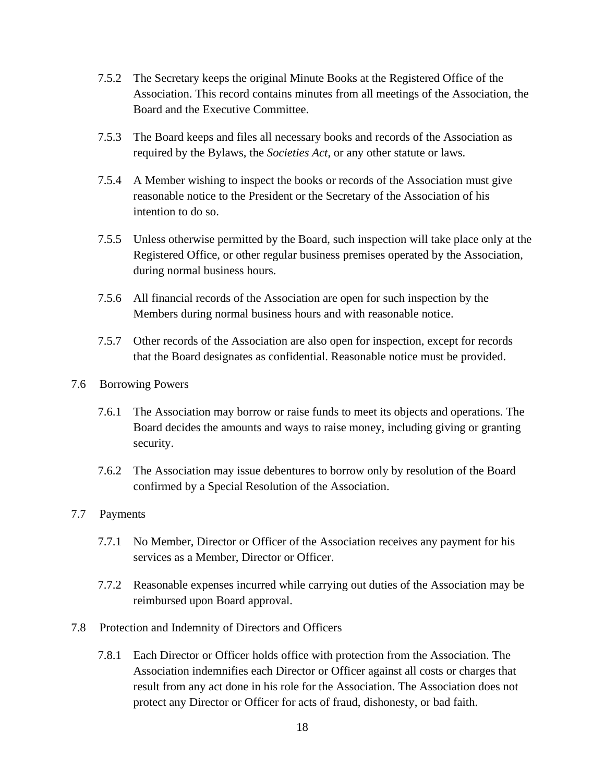- 7.5.2 The Secretary keeps the original Minute Books at the Registered Office of the Association. This record contains minutes from all meetings of the Association, the Board and the Executive Committee.
- 7.5.3 The Board keeps and files all necessary books and records of the Association as required by the Bylaws, the *Societies Act*, or any other statute or laws.
- 7.5.4 A Member wishing to inspect the books or records of the Association must give reasonable notice to the President or the Secretary of the Association of his intention to do so.
- 7.5.5 Unless otherwise permitted by the Board, such inspection will take place only at the Registered Office, or other regular business premises operated by the Association, during normal business hours.
- 7.5.6 All financial records of the Association are open for such inspection by the Members during normal business hours and with reasonable notice.
- 7.5.7 Other records of the Association are also open for inspection, except for records that the Board designates as confidential. Reasonable notice must be provided.
- 7.6 Borrowing Powers
	- 7.6.1 The Association may borrow or raise funds to meet its objects and operations. The Board decides the amounts and ways to raise money, including giving or granting security.
	- 7.6.2 The Association may issue debentures to borrow only by resolution of the Board confirmed by a Special Resolution of the Association.
- 7.7 Payments
	- 7.7.1 No Member, Director or Officer of the Association receives any payment for his services as a Member, Director or Officer.
	- 7.7.2 Reasonable expenses incurred while carrying out duties of the Association may be reimbursed upon Board approval.
- 7.8 Protection and Indemnity of Directors and Officers
	- 7.8.1 Each Director or Officer holds office with protection from the Association. The Association indemnifies each Director or Officer against all costs or charges that result from any act done in his role for the Association. The Association does not protect any Director or Officer for acts of fraud, dishonesty, or bad faith.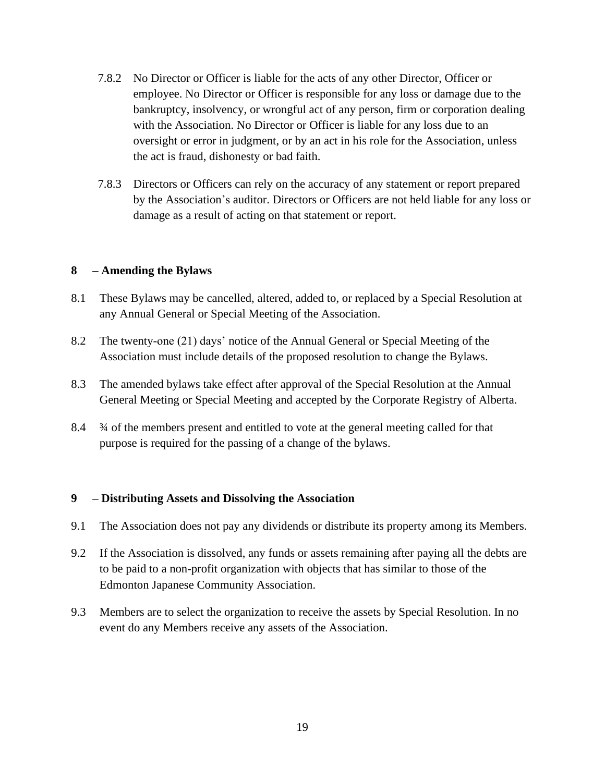- 7.8.2 No Director or Officer is liable for the acts of any other Director, Officer or employee. No Director or Officer is responsible for any loss or damage due to the bankruptcy, insolvency, or wrongful act of any person, firm or corporation dealing with the Association. No Director or Officer is liable for any loss due to an oversight or error in judgment, or by an act in his role for the Association, unless the act is fraud, dishonesty or bad faith.
- 7.8.3 Directors or Officers can rely on the accuracy of any statement or report prepared by the Association's auditor. Directors or Officers are not held liable for any loss or damage as a result of acting on that statement or report.

## **8 – Amending the Bylaws**

- 8.1 These Bylaws may be cancelled, altered, added to, or replaced by a Special Resolution at any Annual General or Special Meeting of the Association.
- 8.2 The twenty-one (21) days' notice of the Annual General or Special Meeting of the Association must include details of the proposed resolution to change the Bylaws.
- 8.3 The amended bylaws take effect after approval of the Special Resolution at the Annual General Meeting or Special Meeting and accepted by the Corporate Registry of Alberta.
- 8.4 ¾ of the members present and entitled to vote at the general meeting called for that purpose is required for the passing of a change of the bylaws.

#### **9 – Distributing Assets and Dissolving the Association**

- 9.1 The Association does not pay any dividends or distribute its property among its Members.
- 9.2 If the Association is dissolved, any funds or assets remaining after paying all the debts are to be paid to a non-profit organization with objects that has similar to those of the Edmonton Japanese Community Association.
- 9.3 Members are to select the organization to receive the assets by Special Resolution. In no event do any Members receive any assets of the Association.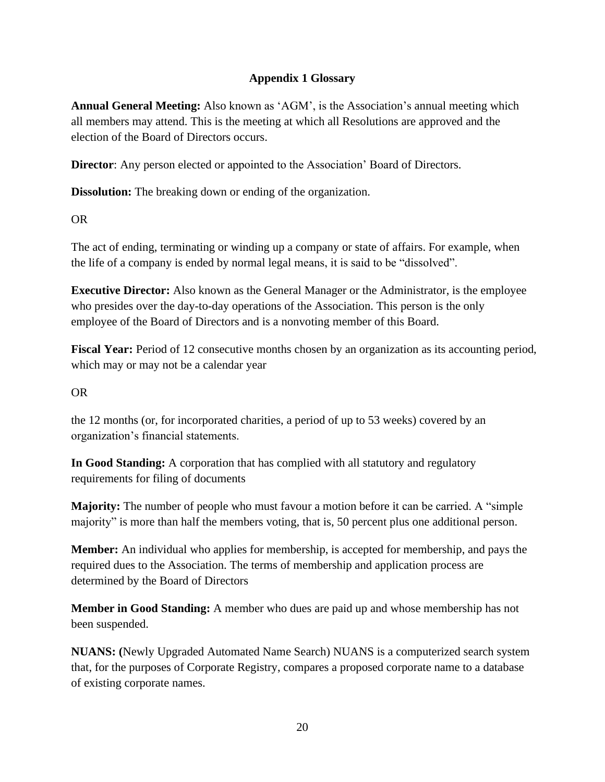# **Appendix 1 Glossary**

**Annual General Meeting:** Also known as 'AGM', is the Association's annual meeting which all members may attend. This is the meeting at which all Resolutions are approved and the election of the Board of Directors occurs.

**Director**: Any person elected or appointed to the Association' Board of Directors.

**Dissolution:** The breaking down or ending of the organization.

# OR

The act of ending, terminating or winding up a company or state of affairs. For example, when the life of a company is ended by normal legal means, it is said to be "dissolved".

**Executive Director:** Also known as the General Manager or the Administrator, is the employee who presides over the day-to-day operations of the Association. This person is the only employee of the Board of Directors and is a nonvoting member of this Board.

**Fiscal Year:** Period of 12 consecutive months chosen by an organization as its accounting period, which may or may not be a calendar year

# OR

the 12 months (or, for incorporated charities, a period of up to 53 weeks) covered by an organization's financial statements.

**In Good Standing:** A corporation that has complied with all statutory and regulatory requirements for filing of documents

**Majority:** The number of people who must favour a motion before it can be carried. A "simple majority" is more than half the members voting, that is, 50 percent plus one additional person.

**Member:** An individual who applies for membership, is accepted for membership, and pays the required dues to the Association. The terms of membership and application process are determined by the Board of Directors

**Member in Good Standing:** A member who dues are paid up and whose membership has not been suspended.

**NUANS: (**Newly Upgraded Automated Name Search) NUANS is a computerized search system that, for the purposes of Corporate Registry, compares a proposed corporate name to a database of existing corporate names.